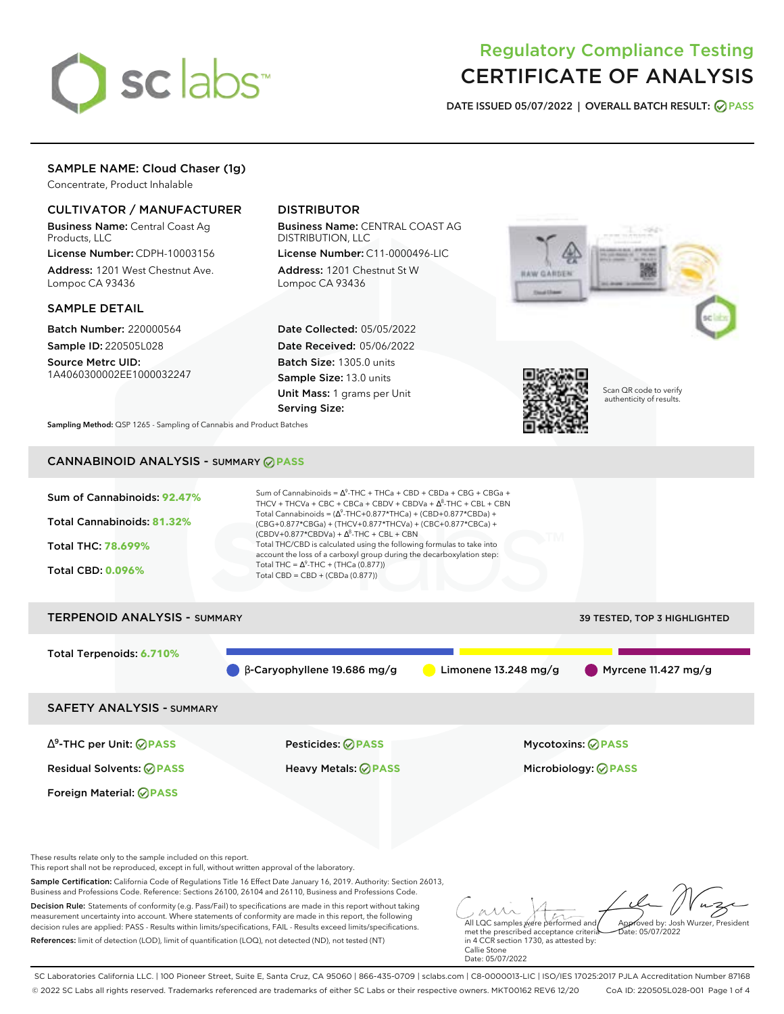

# Regulatory Compliance Testing CERTIFICATE OF ANALYSIS

**DATE ISSUED 05/07/2022 | OVERALL BATCH RESULT: PASS**

## SAMPLE NAME: Cloud Chaser (1g)

Concentrate, Product Inhalable

### CULTIVATOR / MANUFACTURER

Business Name: Central Coast Ag Products, LLC

License Number: CDPH-10003156 Address: 1201 West Chestnut Ave. Lompoc CA 93436

### SAMPLE DETAIL

Batch Number: 220000564 Sample ID: 220505L028

Source Metrc UID: 1A4060300002EE1000032247

### DISTRIBUTOR

Business Name: CENTRAL COAST AG DISTRIBUTION, LLC

License Number: C11-0000496-LIC Address: 1201 Chestnut St W Lompoc CA 93436

Date Collected: 05/05/2022 Date Received: 05/06/2022 Batch Size: 1305.0 units Sample Size: 13.0 units Unit Mass: 1 grams per Unit Serving Size:





Scan QR code to verify authenticity of results.

**Sampling Method:** QSP 1265 - Sampling of Cannabis and Product Batches

# CANNABINOID ANALYSIS - SUMMARY **PASS**



SAFETY ANALYSIS - SUMMARY

∆ 9 -THC per Unit: **PASS** Pesticides: **PASS** Mycotoxins: **PASS**

Foreign Material: **PASS**

Residual Solvents: **PASS** Heavy Metals: **PASS** Microbiology: **PASS**

These results relate only to the sample included on this report.

This report shall not be reproduced, except in full, without written approval of the laboratory.

Sample Certification: California Code of Regulations Title 16 Effect Date January 16, 2019. Authority: Section 26013, Business and Professions Code. Reference: Sections 26100, 26104 and 26110, Business and Professions Code.

Decision Rule: Statements of conformity (e.g. Pass/Fail) to specifications are made in this report without taking measurement uncertainty into account. Where statements of conformity are made in this report, the following decision rules are applied: PASS - Results within limits/specifications, FAIL - Results exceed limits/specifications. References: limit of detection (LOD), limit of quantification (LOQ), not detected (ND), not tested (NT)

All LQC samples were performed and met the prescribed acceptance criteria Approved by: Josh Wurzer, President  $hat: 05/07/2022$ 

in 4 CCR section 1730, as attested by: Callie Stone Date: 05/07/2022

SC Laboratories California LLC. | 100 Pioneer Street, Suite E, Santa Cruz, CA 95060 | 866-435-0709 | sclabs.com | C8-0000013-LIC | ISO/IES 17025:2017 PJLA Accreditation Number 87168 © 2022 SC Labs all rights reserved. Trademarks referenced are trademarks of either SC Labs or their respective owners. MKT00162 REV6 12/20 CoA ID: 220505L028-001 Page 1 of 4